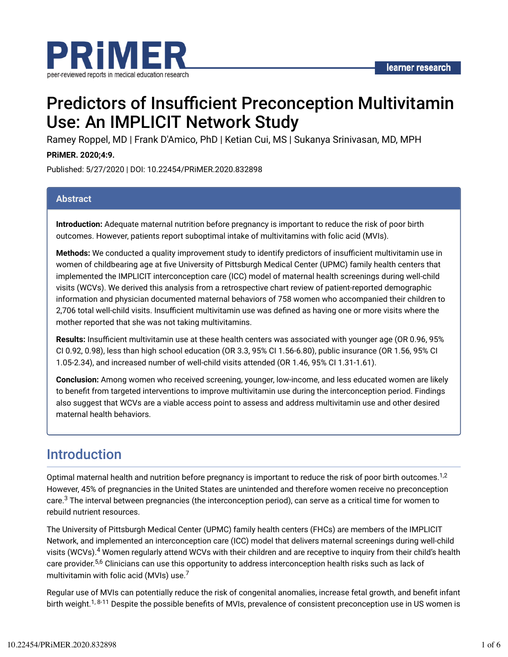

# Predictors of Insufficient Preconception Multivitamin Use: An IMPLICIT Network Study

Ramey Roppel, MD | Frank D'Amico, PhD | Ketian Cui, MS | Sukanya Srinivasan, MD, MPH

#### **PRiMER. 2020;4:9.**

Published: 5/27/2020 | DOI: 10.22454/PRiMER.2020.832898

#### **Abstract**

**Introduction:** Adequate maternal nutrition before pregnancy is important to reduce the risk of poor birth outcomes. However, patients report suboptimal intake of multivitamins with folic acid (MVIs).

**Methods:** We conducted a quality improvement study to identify predictors of insufficient multivitamin use in women of childbearing age at five University of Pittsburgh Medical Center (UPMC) family health centers that implemented the IMPLICIT interconception care (ICC) model of maternal health screenings during well-child visits (WCVs). We derived this analysis from a retrospective chart review of patient-reported demographic information and physician documented maternal behaviors of 758 women who accompanied their children to 2,706 total well-child visits. Insufficient multivitamin use was defined as having one or more visits where the mother reported that she was not taking multivitamins.

**Results:** Insufficient multivitamin use at these health centers was associated with younger age (OR 0.96, 95% CI 0.92, 0.98), less than high school education (OR 3.3, 95% CI 1.56-6.80), public insurance (OR 1.56, 95% CI 1.05-2.34), and increased number of well-child visits attended (OR 1.46, 95% CI 1.31-1.61).

**Conclusion:** Among women who received screening, younger, low-income, and less educated women are likely to benefit from targeted interventions to improve multivitamin use during the interconception period. Findings also suggest that WCVs are a viable access point to assess and address multivitamin use and other desired maternal health behaviors.

### Introduction

Optimal maternal health and nutrition before pregnancy is important to reduce the risk of poor birth outcomes.<sup>1,2</sup> However, 45% of pregnancies in the United States are unintended and therefore women receive no preconception care. $^3$  The interval between pregnancies (the interconception period), can serve as a critical time for women to rebuild nutrient resources.

The University of Pittsburgh Medical Center (UPMC) family health centers (FHCs) are members of the IMPLICIT Network, and implemented an interconception care (ICC) model that delivers maternal screenings during well-child visits (WCVs).<sup>4</sup> Women regularly attend WCVs with their children and are receptive to inquiry from their child's health care provider.<sup>5,6</sup> Clinicians can use this opportunity to address interconception health risks such as lack of multivitamin with folic acid (MVIs) use. $^7$ 

Regular use of MVIs can potentially reduce the risk of congenital anomalies, increase fetal growth, and benefit infant birth weight.<sup>1,8-11</sup> Despite the possible benefits of MVIs, prevalence of consistent preconception use in US women is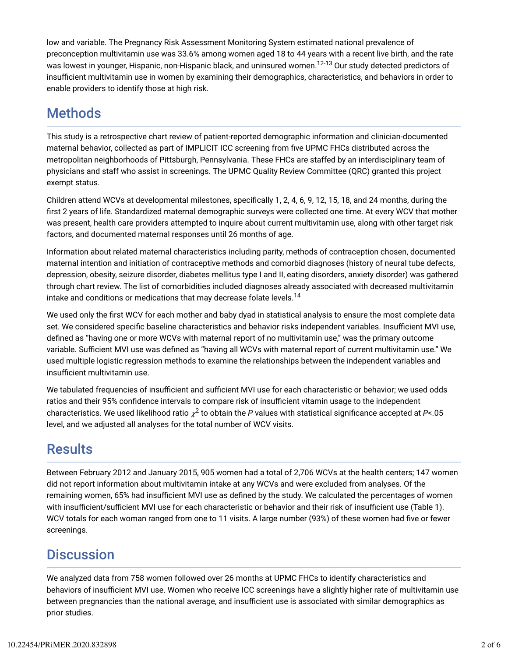low and variable. The Pregnancy Risk Assessment Monitoring System estimated national prevalence of preconception multivitamin use was 33.6% among women aged 18 to 44 years with a recent live birth, and the rate was lowest in younger, Hispanic, non-Hispanic black, and uninsured women.<sup>12-13</sup> Our study detected predictors of insufficient multivitamin use in women by examining their demographics, characteristics, and behaviors in order to enable providers to identify those at high risk.

# **Methods**

This study is a retrospective chart review of patient-reported demographic information and clinician-documented maternal behavior, collected as part of IMPLICIT ICC screening from five UPMC FHCs distributed across the metropolitan neighborhoods of Pittsburgh, Pennsylvania. These FHCs are staffed by an interdisciplinary team of physicians and staff who assist in screenings. The UPMC Quality Review Committee (QRC) granted this project exempt status.

Children attend WCVs at developmental milestones, specifically 1, 2, 4, 6, 9, 12, 15, 18, and 24 months, during the first 2 years of life. Standardized maternal demographic surveys were collected one time. At every WCV that mother was present, health care providers attempted to inquire about current multivitamin use, along with other target risk factors, and documented maternal responses until 26 months of age.

Information about related maternal characteristics including parity, methods of contraception chosen, documented maternal intention and initiation of contraceptive methods and comorbid diagnoses (history of neural tube defects, depression, obesity, seizure disorder, diabetes mellitus type I and II, eating disorders, anxiety disorder) was gathered through chart review. The list of comorbidities included diagnoses already associated with decreased multivitamin intake and conditions or medications that may decrease folate levels. $^{\rm 14}$ 

We used only the first WCV for each mother and baby dyad in statistical analysis to ensure the most complete data set. We considered specific baseline characteristics and behavior risks independent variables. Insufficient MVI use, defined as "having one or more WCVs with maternal report of no multivitamin use," was the primary outcome variable. Sufficient MVI use was defined as "having all WCVs with maternal report of current multivitamin use." We used multiple logistic regression methods to examine the relationships between the independent variables and insufficient multivitamin use.

We tabulated frequencies of insufficient and sufficient MVI use for each characteristic or behavior; we used odds ratios and their 95% confidence intervals to compare risk of insufficient vitamin usage to the independent characteristics. We used likelihood ratio  $\chi^2$  to obtain the  $P$  values with statistical significance accepted at  $P$ <.05 level, and we adjusted all analyses for the total number of WCV visits.

# **Results**

Between February 2012 and January 2015, 905 women had a total of 2,706 WCVs at the health centers; 147 women did not report information about multivitamin intake at any WCVs and were excluded from analyses. Of the remaining women, 65% had insufficient MVI use as defined by the study. We calculated the percentages of women with insufficient/sufficient MVI use for each characteristic or behavior and their risk of insufficient use (Table 1). WCV totals for each woman ranged from one to 11 visits. A large number (93%) of these women had five or fewer screenings.

# **Discussion**

We analyzed data from 758 women followed over 26 months at UPMC FHCs to identify characteristics and behaviors of insufficient MVI use. Women who receive ICC screenings have a slightly higher rate of multivitamin use between pregnancies than the national average, and insufficient use is associated with similar demographics as prior studies.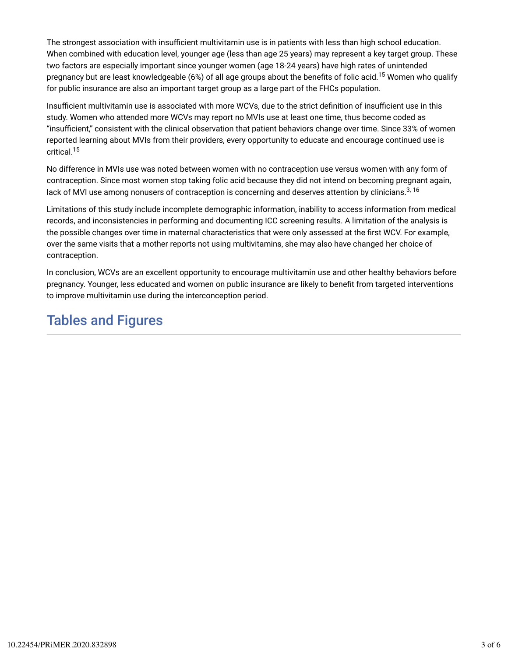The strongest association with insufficient multivitamin use is in patients with less than high school education. When combined with education level, younger age (less than age 25 years) may represent a key target group. These two factors are especially important since younger women (age 18-24 years) have high rates of unintended pregnancy but are least knowledgeable (6%) of all age groups about the benefits of folic acid.<sup>15</sup> Women who qualify for public insurance are also an important target group as a large part of the FHCs population.

Insufficient multivitamin use is associated with more WCVs, due to the strict definition of insufficient use in this study. Women who attended more WCVs may report no MVIs use at least one time, thus become coded as "insufficient," consistent with the clinical observation that patient behaviors change over time. Since 33% of women reported learning about MVIs from their providers, every opportunity to educate and encourage continued use is critical. 15

No difference in MVIs use was noted between women with no contraception use versus women with any form of contraception. Since most women stop taking folic acid because they did not intend on becoming pregnant again, lack of MVI use among nonusers of contraception is concerning and deserves attention by clinicians.<sup>3, 16</sup>

Limitations of this study include incomplete demographic information, inability to access information from medical records, and inconsistencies in performing and documenting ICC screening results. A limitation of the analysis is the possible changes over time in maternal characteristics that were only assessed at the first WCV. For example, over the same visits that a mother reports not using multivitamins, she may also have changed her choice of contraception.

In conclusion, WCVs are an excellent opportunity to encourage multivitamin use and other healthy behaviors before pregnancy. Younger, less educated and women on public insurance are likely to benefit from targeted interventions to improve multivitamin use during the interconception period.

### Tables and Figures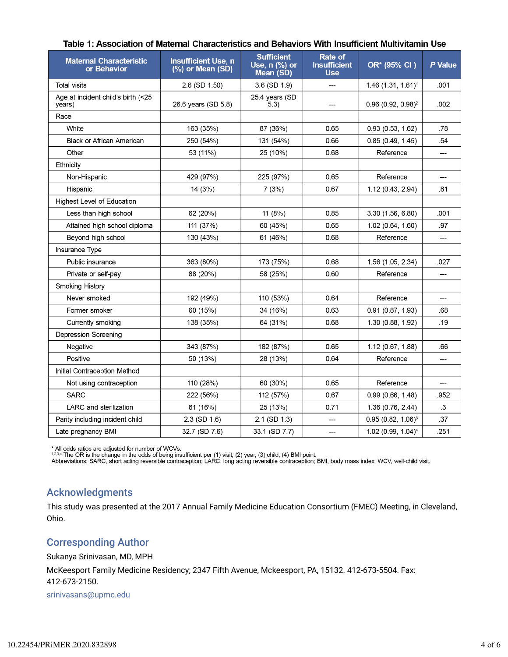| <b>Maternal Characteristic</b><br>or Behavior | <b>Insufficient Use, n</b><br>(%) or Mean (SD) | <b>Sufficient</b><br>Use, n (%) or<br>Mean (SD) | Rate of<br><b>Insufficient</b><br><b>Use</b> | OR* (95% CI)                     | P Value |
|-----------------------------------------------|------------------------------------------------|-------------------------------------------------|----------------------------------------------|----------------------------------|---------|
| <b>Total visits</b>                           | $2.6$ (SD $1.50$ )                             | 3.6 (SD 1.9)                                    | ---                                          | 1.46 (1.31, 1.61) <sup>1</sup>   | .001    |
| Age at incident child's birth (<25<br>years)  | 26.6 years (SD 5.8)                            | 25.4 years (SD<br>(5.3)                         |                                              | $0.96$ (0.92, 0.98) <sup>2</sup> | .002    |
| Race                                          |                                                |                                                 |                                              |                                  |         |
| White                                         | 163 (35%)                                      | 87 (36%)                                        | 0.65                                         | 0.93(0.53, 1.62)                 | .78     |
| <b>Black or African American</b>              | 250 (54%)                                      | 131 (54%)                                       | 0.66                                         | 0.85(0.49, 1.45)                 | .54     |
| Other                                         | 53 (11%)                                       | 25 (10%)                                        | 0.68                                         | Reference                        | ---     |
| Ethnicity                                     |                                                |                                                 |                                              |                                  |         |
| Non-Hispanic                                  | 429 (97%)                                      | 225 (97%)                                       | 0.65                                         | Reference                        | ---     |
| Hispanic                                      | 14(3%)                                         | 7(3%)                                           | 0.67                                         | 1.12(0.43, 2.94)                 | .81     |
| <b>Highest Level of Education</b>             |                                                |                                                 |                                              |                                  |         |
| Less than high school                         | 62 (20%)                                       | 11 (8%)                                         | 0.85                                         | 3.30 (1.56, 6.80)                | .001    |
| Attained high school diploma                  | 111 (37%)                                      | 60 (45%)                                        | 0.65                                         | 1.02 (0.64, 1.60)                | .97     |
| Beyond high school                            | 130 (43%)                                      | 61 (46%)                                        | 0.68                                         | Reference                        | ---     |
| Insurance Type                                |                                                |                                                 |                                              |                                  |         |
| Public insurance                              | 363 (80%)                                      | 173 (75%)                                       | 0.68                                         | 1.56 (1.05, 2.34)                | .027    |
| Private or self-pay                           | 88 (20%)                                       | 58 (25%)                                        | 0.60                                         | Reference                        | ---     |
| <b>Smoking History</b>                        |                                                |                                                 |                                              |                                  |         |
| Never smoked                                  | 192 (49%)                                      | 110 (53%)                                       | 0.64                                         | Reference                        | ---     |
| Former smoker                                 | 60 (15%)                                       | 34 (16%)                                        | 0.63                                         | 0.91(0.87, 1.93)                 | .68     |
| Currently smoking                             | 138 (35%)                                      | 64 (31%)                                        | 0.68                                         | 1.30 (0.88, 1.92)                | .19     |
| Depression Screening                          |                                                |                                                 |                                              |                                  |         |
| Negative                                      | 343 (87%)                                      | 182 (87%)                                       | 0.65                                         | 1.12 (0.67, 1.88)                | .66     |
| Positive                                      | 50 (13%)                                       | 28 (13%)                                        | 0.64                                         | Reference                        | ---     |
| Initial Contraception Method                  |                                                |                                                 |                                              |                                  |         |
| Not using contraception                       | 110 (28%)                                      | 60 (30%)                                        | 0.65                                         | Reference                        | ---     |
| <b>SARC</b>                                   | 222 (56%)                                      | 112 (57%)                                       | 0.67                                         | 0.99(0.66, 1.48)                 | .952    |
| <b>LARC</b> and sterilization                 | 61 (16%)                                       | 25 (13%)                                        | 0.71                                         | 1.36 (0.76, 2.44)                | .3      |
| Parity including incident child               | $2.3$ (SD $1.6$ )                              | 2.1 (SD 1.3)                                    | ---                                          | $0.95(0.82, 1.06)^3$             | 37      |
| Late pregnancy BMI                            | 32.7 (SD 7.6)                                  | 33.1 (SD 7.7)                                   | ---                                          | 1.02 (0.99, 1.04) <sup>4</sup>   | .251    |

\* All odds ratios are adjusted for number of WCVs.<br><sup>1,2,3,4</sup> The OR is the change in the odds of being insufficient per (1) visit, (2) year, (3) child, (4) BMI point.<br>Abbreviations: SARC, short acting reversible contracept

#### Acknowledgments

This study was presented at the 2017 Annual Family Medicine Education Consortium (FMEC) Meeting, in Cleveland, Ohio.

#### Corresponding Author

Sukanya Srinivasan, MD, MPH

McKeesport Family Medicine Residency; 2347 Fifth Avenue, Mckeesport, PA, 15132. 412-673-5504. Fax: 412-673-2150.

srinivasans@upmc.edu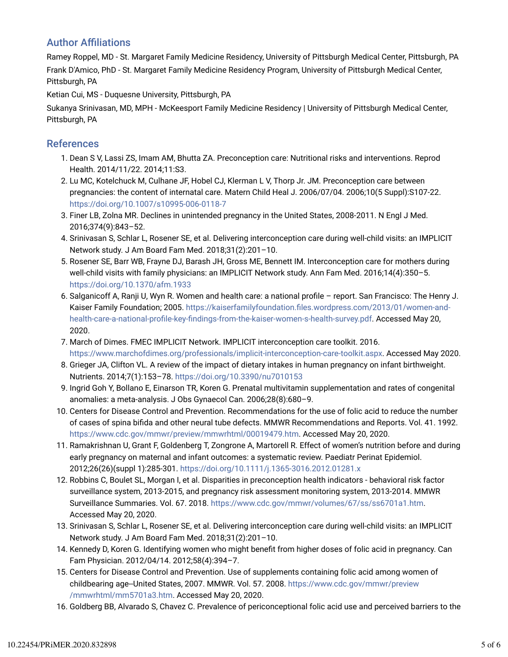### **Author Affiliations**

Ramey Roppel, MD - St. Margaret Family Medicine Residency, University of Pittsburgh Medical Center, Pittsburgh, PA Frank D'Amico, PhD - St. Margaret Family Medicine Residency Program, University of Pittsburgh Medical Center, Pittsburgh, PA

Ketian Cui, MS - Duquesne University, Pittsburgh, PA

Sukanya Srinivasan, MD, MPH - McKeesport Family Medicine Residency | University of Pittsburgh Medical Center, Pittsburgh, PA

#### References

- 1. Dean S V, Lassi ZS, Imam AM, Bhutta ZA. Preconception care: Nutritional risks and interventions. Reprod Health. 2014/11/22. 2014;11:S3.
- 2. Lu MC, Kotelchuck M, Culhane JF, Hobel CJ, Klerman L V, Thorp Jr. JM. Preconception care between pregnancies: the content of internatal care. Matern Child Heal J. 2006/07/04. 2006;10(5 Suppl):S107-22. https://doi.org/10.1007/s10995-006-0118-7
- 3. Finer LB, Zolna MR. Declines in unintended pregnancy in the United States, 2008-2011. N Engl J Med. 2016;374(9):843–52.
- 4. Srinivasan S, Schlar L, Rosener SE, et al. Delivering interconception care during well-child visits: an IMPLICIT Network study. J Am Board Fam Med. 2018;31(2):201–10.
- 5. Rosener SE, Barr WB, Frayne DJ, Barash JH, Gross ME, Bennett IM. Interconception care for mothers during well-child visits with family physicians: an IMPLICIT Network study. Ann Fam Med. 2016;14(4):350–5. https://doi.org/10.1370/afm.1933
- 6. Salganicoff A, Ranji U, Wyn R. Women and health care: a national profile report. San Francisco: The Henry J. Kaiser Family Foundation; 2005. https://kaiserfamilyfoundation.files.wordpress.com/2013/01/women-andhealth-care-a-national-profile-key-findings-from-the-kaiser-women-s-health-survey.pdf. Accessed May 20, 2020.
- 7. March of Dimes. FMEC IMPLICIT Network. IMPLICIT interconception care toolkit. 2016. https://www.marchofdimes.org/professionals/implicit-interconception-care-toolkit.aspx. Accessed May 2020.
- 8. Grieger JA, Clifton VL. A review of the impact of dietary intakes in human pregnancy on infant birthweight. Nutrients. 2014;7(1):153–78. https://doi.org/10.3390/nu7010153
- 9. Ingrid Goh Y, Bollano E, Einarson TR, Koren G. Prenatal multivitamin supplementation and rates of congenital anomalies: a meta-analysis. J Obs Gynaecol Can. 2006;28(8):680–9.
- 10. Centers for Disease Control and Prevention. Recommendations for the use of folic acid to reduce the number of cases of spina bifida and other neural tube defects. MMWR Recommendations and Reports. Vol. 41. 1992. https://www.cdc.gov/mmwr/preview/mmwrhtml/00019479.htm. Accessed May 20, 2020.
- 11. Ramakrishnan U, Grant F, Goldenberg T, Zongrone A, Martorell R. Effect of women's nutrition before and during early pregnancy on maternal and infant outcomes: a systematic review. Paediatr Perinat Epidemiol. 2012;26(26)(suppl 1):285-301. https://doi.org/10.1111/j.1365-3016.2012.01281.x
- 12. Robbins C, Boulet SL, Morgan I, et al. Disparities in preconception health indicators behavioral risk factor surveillance system, 2013-2015, and pregnancy risk assessment monitoring system, 2013-2014. MMWR Surveillance Summaries. Vol. 67. 2018. https://www.cdc.gov/mmwr/volumes/67/ss/ss6701a1.htm. Accessed May 20, 2020.
- 13. Srinivasan S, Schlar L, Rosener SE, et al. Delivering interconception care during well-child visits: an IMPLICIT Network study. J Am Board Fam Med. 2018;31(2):201–10.
- 14. Kennedy D, Koren G. Identifying women who might benefit from higher doses of folic acid in pregnancy. Can Fam Physician. 2012/04/14. 2012;58(4):394–7.
- 15. Centers for Disease Control and Prevention. Use of supplements containing folic acid among women of childbearing age--United States, 2007. MMWR. Vol. 57. 2008. https://www.cdc.gov/mmwr/preview /mmwrhtml/mm5701a3.htm. Accessed May 20, 2020.
- 16. Goldberg BB, Alvarado S, Chavez C. Prevalence of periconceptional folic acid use and perceived barriers to the